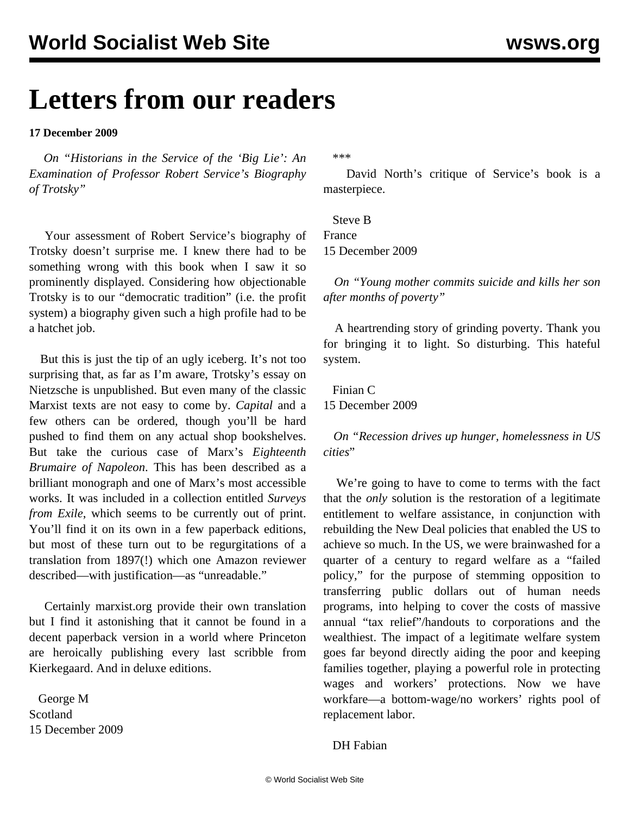## **Letters from our readers**

**17 December 2009**

 *On "[Historians in the Service of the 'Big Lie': An](/en/articles/2009/dec2009/serv-d15.shtml) [Examination of Professor Robert Service's Biography](/en/articles/2009/dec2009/serv-d15.shtml) [of Trotsky"](/en/articles/2009/dec2009/serv-d15.shtml)*

 Your assessment of Robert Service's biography of Trotsky doesn't surprise me. I knew there had to be something wrong with this book when I saw it so prominently displayed. Considering how objectionable Trotsky is to our "democratic tradition" (i.e. the profit system) a biography given such a high profile had to be a hatchet job.

 But this is just the tip of an ugly iceberg. It's not too surprising that, as far as I'm aware, Trotsky's essay on Nietzsche is unpublished. But even many of the classic Marxist texts are not easy to come by. *Capital* and a few others can be ordered, though you'll be hard pushed to find them on any actual shop bookshelves. But take the curious case of Marx's *Eighteenth Brumaire of Napoleon*. This has been described as a brilliant monograph and one of Marx's most accessible works. It was included in a collection entitled *Surveys from Exile*, which seems to be currently out of print. You'll find it on its own in a few paperback editions, but most of these turn out to be regurgitations of a translation from 1897(!) which one Amazon reviewer described—with justification—as "unreadable."

 Certainly marxist.org provide their own translation but I find it astonishing that it cannot be found in a decent paperback version in a world where Princeton are heroically publishing every last scribble from Kierkegaard. And in deluxe editions.

 George M Scotland 15 December 2009 \*\*\*

 David North's critique of Service's book is a masterpiece.

 Steve B France 15 December 2009

 *On "[Young mother commits suicide and kills her son](/en/articles/2009/dec2009/suic-d15.shtml) [after months of poverty](/en/articles/2009/dec2009/suic-d15.shtml)"* 

 A heartrending story of grinding poverty. Thank you for bringing it to light. So disturbing. This hateful system.

 Finian C 15 December 2009

 *On "[Recession drives up hunger, homelessness in US](/en/articles/2009/dec2009/mayo-d10.shtml) [cities](/en/articles/2009/dec2009/mayo-d10.shtml)*"

 We're going to have to come to terms with the fact that the *only* solution is the restoration of a legitimate entitlement to welfare assistance, in conjunction with rebuilding the New Deal policies that enabled the US to achieve so much. In the US, we were brainwashed for a quarter of a century to regard welfare as a "failed policy," for the purpose of stemming opposition to transferring public dollars out of human needs programs, into helping to cover the costs of massive annual "tax relief"/handouts to corporations and the wealthiest. The impact of a legitimate welfare system goes far beyond directly aiding the poor and keeping families together, playing a powerful role in protecting wages and workers' protections. Now we have workfare—a bottom-wage/no workers' rights pool of replacement labor.

DH Fabian